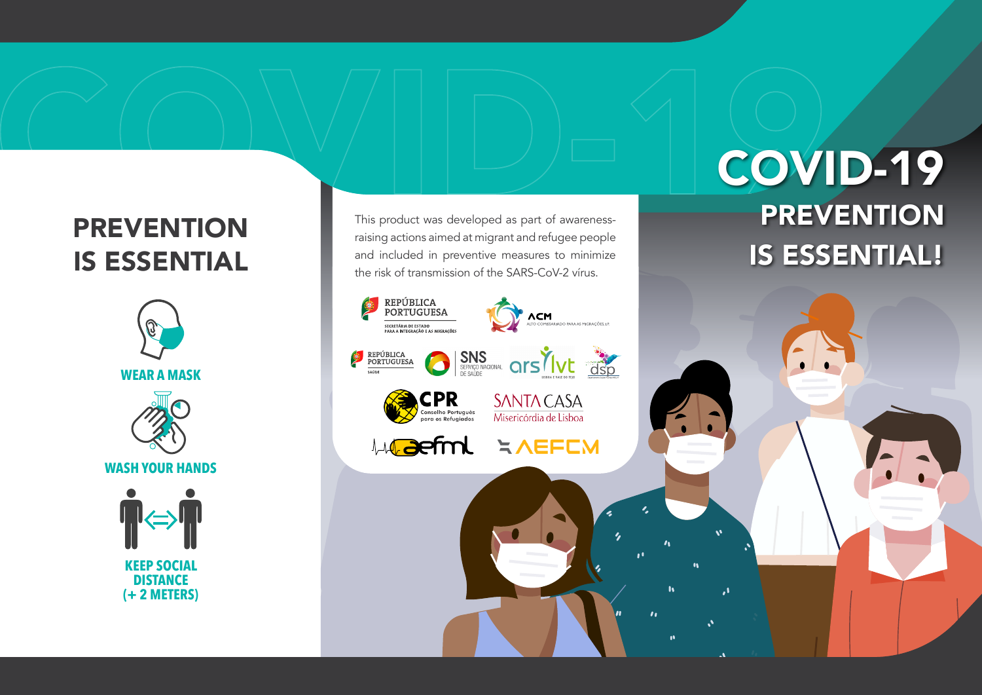## **PREVENTION** IS ESSENTIAL



This product was developed as part of awarenessraising actions aimed at migrant and refugee people and included in preventive measures to minimize the risk of transmission of the SARS-CoV-2 vírus.

### REPÚBLICA<br>PORTUGUESA **ACM**<br>ALTO COMISSARIADO PARA AS MIGRAÇÕES, I.P. -<br>SECRETÁRIA DE ESTADO<br>PARA A INTEGRAÇÃO E AS MIGRAÇÕES SINS SERVICONAL CITS VIVE CISO REPÚBLICA<br>PORTUGUESA SAÚDE **CPR SANTA CASA** nselho Português Misericórdia de Lisboa **ANDEEM Caefml**

## COVID-19 **PREVENTION** IS ESSENTIAL!

 $\boldsymbol{v}$ 

 $\mathbf{r}$